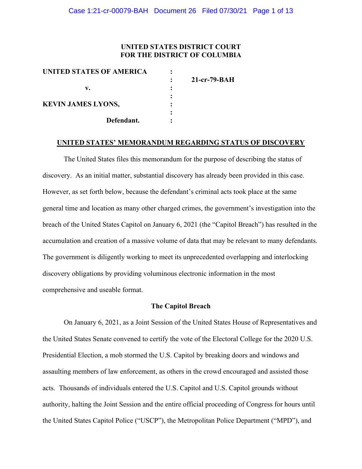## **UNITED STATES DISTRICT COURT FOR THE DISTRICT OF COLUMBIA**

| UNITED STATES OF AMERICA  |                |
|---------------------------|----------------|
|                           | $21-cr-79-BAH$ |
| v.                        |                |
|                           |                |
| <b>KEVIN JAMES LYONS,</b> |                |
|                           |                |
| Defendant.                |                |
|                           |                |

#### **UNITED STATES' MEMORANDUM REGARDING STATUS OF DISCOVERY**

The United States files this memorandum for the purpose of describing the status of discovery. As an initial matter, substantial discovery has already been provided in this case. However, as set forth below, because the defendant's criminal acts took place at the same general time and location as many other charged crimes, the government's investigation into the breach of the United States Capitol on January 6, 2021 (the "Capitol Breach") has resulted in the accumulation and creation of a massive volume of data that may be relevant to many defendants. The government is diligently working to meet its unprecedented overlapping and interlocking discovery obligations by providing voluminous electronic information in the most comprehensive and useable format.

#### **The Capitol Breach**

On January 6, 2021, as a Joint Session of the United States House of Representatives and the United States Senate convened to certify the vote of the Electoral College for the 2020 U.S. Presidential Election, a mob stormed the U.S. Capitol by breaking doors and windows and assaulting members of law enforcement, as others in the crowd encouraged and assisted those acts. Thousands of individuals entered the U.S. Capitol and U.S. Capitol grounds without authority, halting the Joint Session and the entire official proceeding of Congress for hours until the United States Capitol Police ("USCP"), the Metropolitan Police Department ("MPD"), and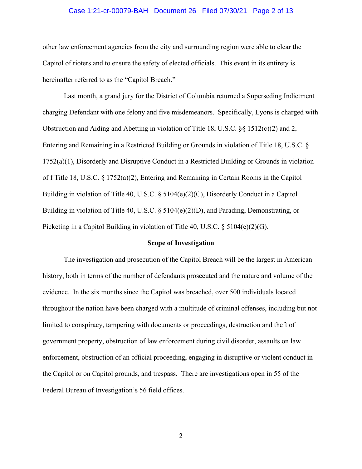## Case 1:21-cr-00079-BAH Document 26 Filed 07/30/21 Page 2 of 13

other law enforcement agencies from the city and surrounding region were able to clear the Capitol of rioters and to ensure the safety of elected officials. This event in its entirety is hereinafter referred to as the "Capitol Breach."

Last month, a grand jury for the District of Columbia returned a Superseding Indictment charging Defendant with one felony and five misdemeanors. Specifically, Lyons is charged with Obstruction and Aiding and Abetting in violation of Title 18, U.S.C. §§ 1512(c)(2) and 2, Entering and Remaining in a Restricted Building or Grounds in violation of Title 18, U.S.C. § 1752(a)(1), Disorderly and Disruptive Conduct in a Restricted Building or Grounds in violation of f Title 18, U.S.C. § 1752(a)(2), Entering and Remaining in Certain Rooms in the Capitol Building in violation of Title 40, U.S.C. § 5104(e)(2)(C), Disorderly Conduct in a Capitol Building in violation of Title 40, U.S.C. § 5104(e)(2)(D), and Parading, Demonstrating, or Picketing in a Capitol Building in violation of Title 40, U.S.C.  $\S 5104(e)(2)(G)$ .

### **Scope of Investigation**

The investigation and prosecution of the Capitol Breach will be the largest in American history, both in terms of the number of defendants prosecuted and the nature and volume of the evidence. In the six months since the Capitol was breached, over 500 individuals located throughout the nation have been charged with a multitude of criminal offenses, including but not limited to conspiracy, tampering with documents or proceedings, destruction and theft of government property, obstruction of law enforcement during civil disorder, assaults on law enforcement, obstruction of an official proceeding, engaging in disruptive or violent conduct in the Capitol or on Capitol grounds, and trespass. There are investigations open in 55 of the Federal Bureau of Investigation's 56 field offices.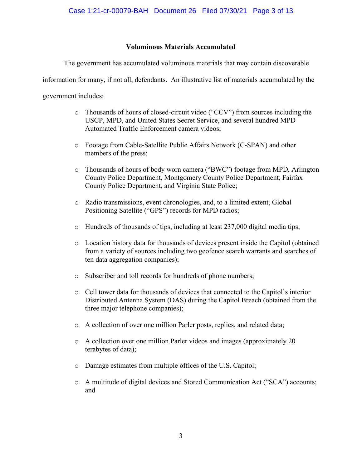## **Voluminous Materials Accumulated**

The government has accumulated voluminous materials that may contain discoverable

information for many, if not all, defendants. An illustrative list of materials accumulated by the

government includes:

- o Thousands of hours of closed-circuit video ("CCV") from sources including the USCP, MPD, and United States Secret Service, and several hundred MPD Automated Traffic Enforcement camera videos;
- o Footage from Cable-Satellite Public Affairs Network (C-SPAN) and other members of the press;
- o Thousands of hours of body worn camera ("BWC") footage from MPD, Arlington County Police Department, Montgomery County Police Department, Fairfax County Police Department, and Virginia State Police;
- o Radio transmissions, event chronologies, and, to a limited extent, Global Positioning Satellite ("GPS") records for MPD radios;
- o Hundreds of thousands of tips, including at least 237,000 digital media tips;
- o Location history data for thousands of devices present inside the Capitol (obtained from a variety of sources including two geofence search warrants and searches of ten data aggregation companies);
- o Subscriber and toll records for hundreds of phone numbers;
- o Cell tower data for thousands of devices that connected to the Capitol's interior Distributed Antenna System (DAS) during the Capitol Breach (obtained from the three major telephone companies);
- o A collection of over one million Parler posts, replies, and related data;
- o A collection over one million Parler videos and images (approximately 20 terabytes of data);
- o Damage estimates from multiple offices of the U.S. Capitol;
- o A multitude of digital devices and Stored Communication Act ("SCA") accounts; and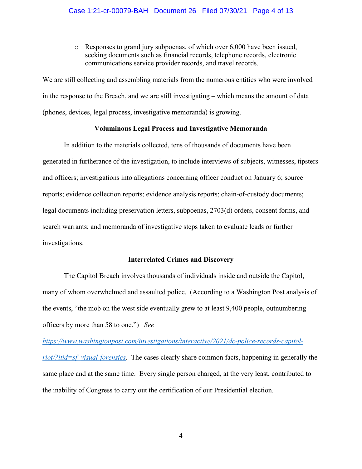o Responses to grand jury subpoenas, of which over 6,000 have been issued, seeking documents such as financial records, telephone records, electronic communications service provider records, and travel records.

We are still collecting and assembling materials from the numerous entities who were involved in the response to the Breach, and we are still investigating – which means the amount of data (phones, devices, legal process, investigative memoranda) is growing.

## **Voluminous Legal Process and Investigative Memoranda**

In addition to the materials collected, tens of thousands of documents have been generated in furtherance of the investigation, to include interviews of subjects, witnesses, tipsters and officers; investigations into allegations concerning officer conduct on January 6; source reports; evidence collection reports; evidence analysis reports; chain-of-custody documents; legal documents including preservation letters, subpoenas, 2703(d) orders, consent forms, and search warrants; and memoranda of investigative steps taken to evaluate leads or further investigations.

#### **Interrelated Crimes and Discovery**

The Capitol Breach involves thousands of individuals inside and outside the Capitol, many of whom overwhelmed and assaulted police. (According to a Washington Post analysis of the events, "the mob on the west side eventually grew to at least 9,400 people, outnumbering officers by more than 58 to one.") *See* 

*https://www.washingtonpost.com/investigations/interactive/2021/dc-police-records-capitolriot/?itid=sf\_visual-forensics*. The cases clearly share common facts, happening in generally the same place and at the same time. Every single person charged, at the very least, contributed to the inability of Congress to carry out the certification of our Presidential election.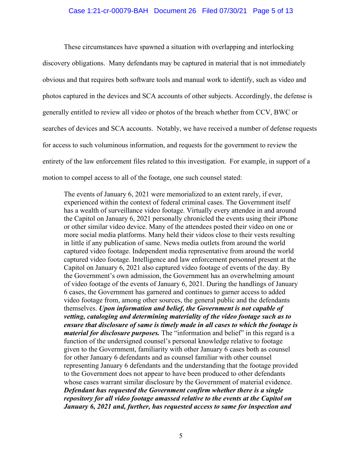## Case 1:21-cr-00079-BAH Document 26 Filed 07/30/21 Page 5 of 13

These circumstances have spawned a situation with overlapping and interlocking discovery obligations. Many defendants may be captured in material that is not immediately obvious and that requires both software tools and manual work to identify, such as video and photos captured in the devices and SCA accounts of other subjects. Accordingly, the defense is generally entitled to review all video or photos of the breach whether from CCV, BWC or searches of devices and SCA accounts. Notably, we have received a number of defense requests for access to such voluminous information, and requests for the government to review the entirety of the law enforcement files related to this investigation. For example, in support of a motion to compel access to all of the footage, one such counsel stated:

The events of January 6, 2021 were memorialized to an extent rarely, if ever, experienced within the context of federal criminal cases. The Government itself has a wealth of surveillance video footage. Virtually every attendee in and around the Capitol on January 6, 2021 personally chronicled the events using their iPhone or other similar video device. Many of the attendees posted their video on one or more social media platforms. Many held their videos close to their vests resulting in little if any publication of same. News media outlets from around the world captured video footage. Independent media representative from around the world captured video footage. Intelligence and law enforcement personnel present at the Capitol on January 6, 2021 also captured video footage of events of the day. By the Government's own admission, the Government has an overwhelming amount of video footage of the events of January 6, 2021. During the handlings of January 6 cases, the Government has garnered and continues to garner access to added video footage from, among other sources, the general public and the defendants themselves. *Upon information and belief, the Government is not capable of vetting, cataloging and determining materiality of the video footage such as to ensure that disclosure of same is timely made in all cases to which the footage is material for disclosure purposes.* The "information and belief" in this regard is a function of the undersigned counsel's personal knowledge relative to footage given to the Government, familiarity with other January 6 cases both as counsel for other January 6 defendants and as counsel familiar with other counsel representing January 6 defendants and the understanding that the footage provided to the Government does not appear to have been produced to other defendants whose cases warrant similar disclosure by the Government of material evidence. *Defendant has requested the Government confirm whether there is a single repository for all video footage amassed relative to the events at the Capitol on January 6, 2021 and, further, has requested access to same for inspection and*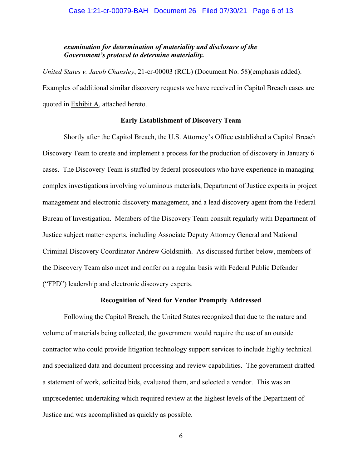## *examination for determination of materiality and disclosure of the Government's protocol to determine materiality.*

*United States v. Jacob Chansley*, 21-cr-00003 (RCL) (Document No. 58)(emphasis added). Examples of additional similar discovery requests we have received in Capitol Breach cases are quoted in Exhibit A, attached hereto.

## **Early Establishment of Discovery Team**

Shortly after the Capitol Breach, the U.S. Attorney's Office established a Capitol Breach Discovery Team to create and implement a process for the production of discovery in January 6 cases. The Discovery Team is staffed by federal prosecutors who have experience in managing complex investigations involving voluminous materials, Department of Justice experts in project management and electronic discovery management, and a lead discovery agent from the Federal Bureau of Investigation. Members of the Discovery Team consult regularly with Department of Justice subject matter experts, including Associate Deputy Attorney General and National Criminal Discovery Coordinator Andrew Goldsmith. As discussed further below, members of the Discovery Team also meet and confer on a regular basis with Federal Public Defender ("FPD") leadership and electronic discovery experts.

#### **Recognition of Need for Vendor Promptly Addressed**

Following the Capitol Breach, the United States recognized that due to the nature and volume of materials being collected, the government would require the use of an outside contractor who could provide litigation technology support services to include highly technical and specialized data and document processing and review capabilities. The government drafted a statement of work, solicited bids, evaluated them, and selected a vendor. This was an unprecedented undertaking which required review at the highest levels of the Department of Justice and was accomplished as quickly as possible.

6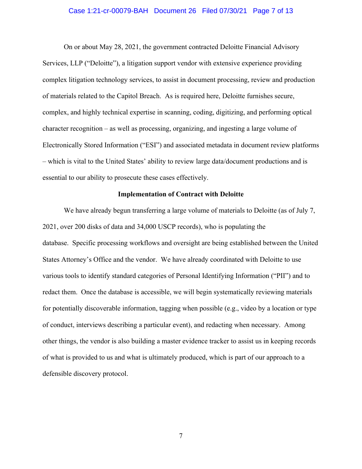### Case 1:21-cr-00079-BAH Document 26 Filed 07/30/21 Page 7 of 13

On or about May 28, 2021, the government contracted Deloitte Financial Advisory Services, LLP ("Deloitte"), a litigation support vendor with extensive experience providing complex litigation technology services, to assist in document processing, review and production of materials related to the Capitol Breach. As is required here, Deloitte furnishes secure, complex, and highly technical expertise in scanning, coding, digitizing, and performing optical character recognition – as well as processing, organizing, and ingesting a large volume of Electronically Stored Information ("ESI") and associated metadata in document review platforms – which is vital to the United States' ability to review large data/document productions and is essential to our ability to prosecute these cases effectively.

## **Implementation of Contract with Deloitte**

We have already begun transferring a large volume of materials to Deloitte (as of July 7, 2021, over 200 disks of data and 34,000 USCP records), who is populating the database. Specific processing workflows and oversight are being established between the United States Attorney's Office and the vendor. We have already coordinated with Deloitte to use various tools to identify standard categories of Personal Identifying Information ("PII") and to redact them. Once the database is accessible, we will begin systematically reviewing materials for potentially discoverable information, tagging when possible (e.g., video by a location or type of conduct, interviews describing a particular event), and redacting when necessary. Among other things, the vendor is also building a master evidence tracker to assist us in keeping records of what is provided to us and what is ultimately produced, which is part of our approach to a defensible discovery protocol.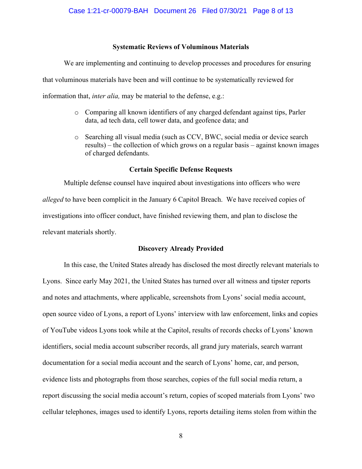## **Systematic Reviews of Voluminous Materials**

We are implementing and continuing to develop processes and procedures for ensuring that voluminous materials have been and will continue to be systematically reviewed for information that, *inter alia,* may be material to the defense, e.g.:

- o Comparing all known identifiers of any charged defendant against tips, Parler data, ad tech data, cell tower data, and geofence data; and
- o Searching all visual media (such as CCV, BWC, social media or device search results) – the collection of which grows on a regular basis – against known images of charged defendants.

## **Certain Specific Defense Requests**

Multiple defense counsel have inquired about investigations into officers who were *alleged* to have been complicit in the January 6 Capitol Breach. We have received copies of investigations into officer conduct, have finished reviewing them, and plan to disclose the relevant materials shortly.

## **Discovery Already Provided**

In this case, the United States already has disclosed the most directly relevant materials to Lyons. Since early May 2021, the United States has turned over all witness and tipster reports and notes and attachments, where applicable, screenshots from Lyons' social media account, open source video of Lyons, a report of Lyons' interview with law enforcement, links and copies of YouTube videos Lyons took while at the Capitol, results of records checks of Lyons' known identifiers, social media account subscriber records, all grand jury materials, search warrant documentation for a social media account and the search of Lyons' home, car, and person, evidence lists and photographs from those searches, copies of the full social media return, a report discussing the social media account's return, copies of scoped materials from Lyons' two cellular telephones, images used to identify Lyons, reports detailing items stolen from within the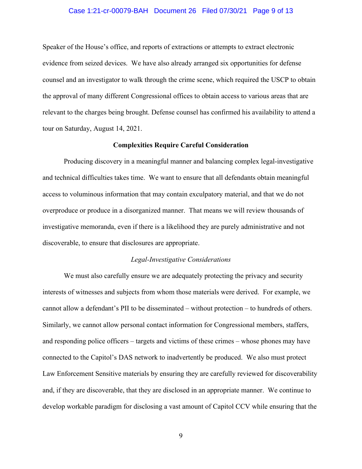## Case 1:21-cr-00079-BAH Document 26 Filed 07/30/21 Page 9 of 13

Speaker of the House's office, and reports of extractions or attempts to extract electronic evidence from seized devices. We have also already arranged six opportunities for defense counsel and an investigator to walk through the crime scene, which required the USCP to obtain the approval of many different Congressional offices to obtain access to various areas that are relevant to the charges being brought. Defense counsel has confirmed his availability to attend a tour on Saturday, August 14, 2021.

### **Complexities Require Careful Consideration**

Producing discovery in a meaningful manner and balancing complex legal-investigative and technical difficulties takes time. We want to ensure that all defendants obtain meaningful access to voluminous information that may contain exculpatory material, and that we do not overproduce or produce in a disorganized manner. That means we will review thousands of investigative memoranda, even if there is a likelihood they are purely administrative and not discoverable, to ensure that disclosures are appropriate.

#### *Legal-Investigative Considerations*

We must also carefully ensure we are adequately protecting the privacy and security interests of witnesses and subjects from whom those materials were derived. For example, we cannot allow a defendant's PII to be disseminated – without protection – to hundreds of others. Similarly, we cannot allow personal contact information for Congressional members, staffers, and responding police officers – targets and victims of these crimes – whose phones may have connected to the Capitol's DAS network to inadvertently be produced. We also must protect Law Enforcement Sensitive materials by ensuring they are carefully reviewed for discoverability and, if they are discoverable, that they are disclosed in an appropriate manner. We continue to develop workable paradigm for disclosing a vast amount of Capitol CCV while ensuring that the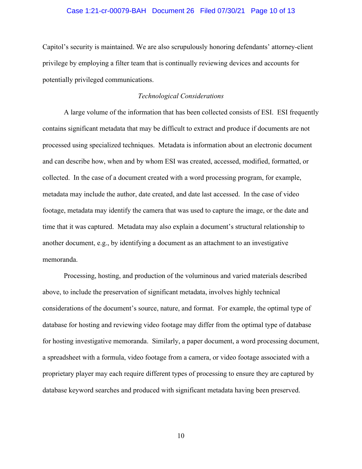## Case 1:21-cr-00079-BAH Document 26 Filed 07/30/21 Page 10 of 13

Capitol's security is maintained. We are also scrupulously honoring defendants' attorney-client privilege by employing a filter team that is continually reviewing devices and accounts for potentially privileged communications.

## *Technological Considerations*

A large volume of the information that has been collected consists of ESI. ESI frequently contains significant metadata that may be difficult to extract and produce if documents are not processed using specialized techniques. Metadata is information about an electronic document and can describe how, when and by whom ESI was created, accessed, modified, formatted, or collected. In the case of a document created with a word processing program, for example, metadata may include the author, date created, and date last accessed. In the case of video footage, metadata may identify the camera that was used to capture the image, or the date and time that it was captured. Metadata may also explain a document's structural relationship to another document, e.g., by identifying a document as an attachment to an investigative memoranda.

Processing, hosting, and production of the voluminous and varied materials described above, to include the preservation of significant metadata, involves highly technical considerations of the document's source, nature, and format. For example, the optimal type of database for hosting and reviewing video footage may differ from the optimal type of database for hosting investigative memoranda. Similarly, a paper document, a word processing document, a spreadsheet with a formula, video footage from a camera, or video footage associated with a proprietary player may each require different types of processing to ensure they are captured by database keyword searches and produced with significant metadata having been preserved.

10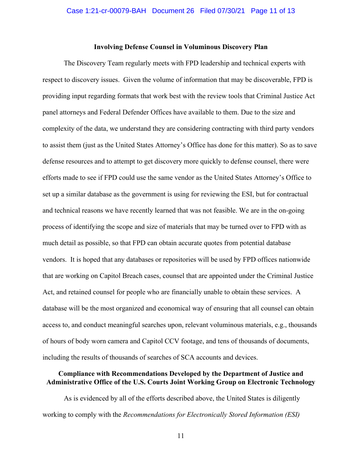## **Involving Defense Counsel in Voluminous Discovery Plan**

The Discovery Team regularly meets with FPD leadership and technical experts with respect to discovery issues. Given the volume of information that may be discoverable, FPD is providing input regarding formats that work best with the review tools that Criminal Justice Act panel attorneys and Federal Defender Offices have available to them. Due to the size and complexity of the data, we understand they are considering contracting with third party vendors to assist them (just as the United States Attorney's Office has done for this matter). So as to save defense resources and to attempt to get discovery more quickly to defense counsel, there were efforts made to see if FPD could use the same vendor as the United States Attorney's Office to set up a similar database as the government is using for reviewing the ESI, but for contractual and technical reasons we have recently learned that was not feasible. We are in the on-going process of identifying the scope and size of materials that may be turned over to FPD with as much detail as possible, so that FPD can obtain accurate quotes from potential database vendors. It is hoped that any databases or repositories will be used by FPD offices nationwide that are working on Capitol Breach cases, counsel that are appointed under the Criminal Justice Act, and retained counsel for people who are financially unable to obtain these services. A database will be the most organized and economical way of ensuring that all counsel can obtain access to, and conduct meaningful searches upon, relevant voluminous materials, e.g., thousands of hours of body worn camera and Capitol CCV footage, and tens of thousands of documents, including the results of thousands of searches of SCA accounts and devices.

# **Compliance with Recommendations Developed by the Department of Justice and Administrative Office of the U.S. Courts Joint Working Group on Electronic Technology**

As is evidenced by all of the efforts described above, the United States is diligently working to comply with the *Recommendations for Electronically Stored Information (ESI)*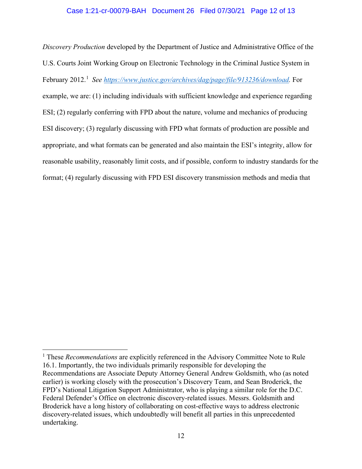## Case 1:21-cr-00079-BAH Document 26 Filed 07/30/21 Page 12 of 13

*Discovery Production* developed by the Department of Justice and Administrative Office of the U.S. Courts Joint Working Group on Electronic Technology in the Criminal Justice System in February 2012.<sup>1</sup> See https://www.justice.gov/archives/dag/page/file/913236/download. For example, we are: (1) including individuals with sufficient knowledge and experience regarding ESI; (2) regularly conferring with FPD about the nature, volume and mechanics of producing ESI discovery; (3) regularly discussing with FPD what formats of production are possible and appropriate, and what formats can be generated and also maintain the ESI's integrity, allow for reasonable usability, reasonably limit costs, and if possible, conform to industry standards for the format; (4) regularly discussing with FPD ESI discovery transmission methods and media that

<sup>&</sup>lt;sup>1</sup> These *Recommendations* are explicitly referenced in the Advisory Committee Note to Rule 16.1. Importantly, the two individuals primarily responsible for developing the Recommendations are Associate Deputy Attorney General Andrew Goldsmith, who (as noted earlier) is working closely with the prosecution's Discovery Team, and Sean Broderick, the FPD's National Litigation Support Administrator, who is playing a similar role for the D.C. Federal Defender's Office on electronic discovery-related issues. Messrs. Goldsmith and Broderick have a long history of collaborating on cost-effective ways to address electronic discovery-related issues, which undoubtedly will benefit all parties in this unprecedented undertaking.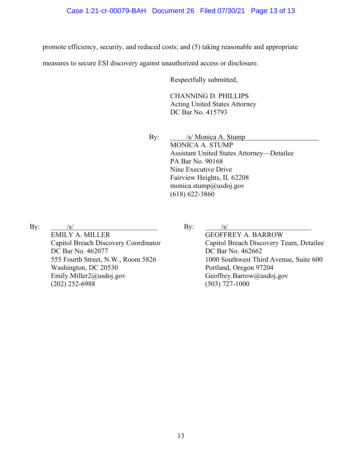promote efficiency, security, and reduced costs; and (5) taking reasonable and appropriate

measures to secure ESI discovery against unauthorized access or disclosure.

Respectfully submitted,

CHANNING D. PHILLIPS Acting United States Attorney DC Bar No. 415793

By: /s/ Monica A. Stump MONICA A. STUMP Assistant United States Attorney—Detailee PA Bar No. 90168 Nine Executive Drive Fairview Heights, IL 62208 monica.stump@usdoj.gov (618) 622-3860

 $By:$ 

EMILY A. MILLER Capitol Breach Discovery Coordinator DC Bar No. 462077 555 Fourth Street, N.W., Room 5826 Washington, DC 20530 Emily.Miller2@usdoj.gov (202) 252-6988

 $\mathbf{By:}$ 

GEOFFREY A. BARROW Capitol Breach Discovery Team, Detailee DC Bar No. 462662 1000 Southwest Third Avenue, Suite 600 Portland, Oregon 97204 Geoffrey.Barrow@usdoj.gov (503) 727-1000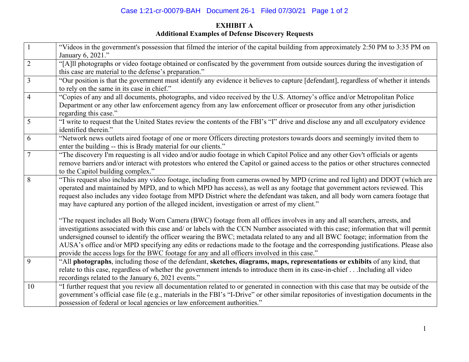# Case 1:21-cr-00079-BAH Document 26-1 Filed 07/30/21 Page 1 of 2

# **EXHIBIT A Additional Examples of Defense Discovery Requests**

| $\mathbf{1}$   | "Videos in the government's possession that filmed the interior of the capital building from approximately 2:50 PM to 3:35 PM on<br>January 6, 2021."                                                                                                                                                                                                                                                                                                                                                                                                                                                                                   |
|----------------|-----------------------------------------------------------------------------------------------------------------------------------------------------------------------------------------------------------------------------------------------------------------------------------------------------------------------------------------------------------------------------------------------------------------------------------------------------------------------------------------------------------------------------------------------------------------------------------------------------------------------------------------|
| $\sqrt{2}$     | "[A]ll photographs or video footage obtained or confiscated by the government from outside sources during the investigation of<br>this case are material to the defense's preparation."                                                                                                                                                                                                                                                                                                                                                                                                                                                 |
| $\overline{3}$ | "Our position is that the government must identify any evidence it believes to capture [defendant], regardless of whether it intends<br>to rely on the same in its case in chief."                                                                                                                                                                                                                                                                                                                                                                                                                                                      |
| $\overline{4}$ | "Copies of any and all documents, photographs, and video received by the U.S. Attorney's office and/or Metropolitan Police<br>Department or any other law enforcement agency from any law enforcement officer or prosecutor from any other jurisdiction<br>regarding this case."                                                                                                                                                                                                                                                                                                                                                        |
| 5              | "I write to request that the United States review the contents of the FBI's "I" drive and disclose any and all exculpatory evidence<br>identified therein."                                                                                                                                                                                                                                                                                                                                                                                                                                                                             |
| 6              | "Network news outlets aired footage of one or more Officers directing protestors towards doors and seemingly invited them to<br>enter the building -- this is Brady material for our clients."                                                                                                                                                                                                                                                                                                                                                                                                                                          |
| 7              | "The discovery I'm requesting is all video and/or audio footage in which Capitol Police and any other Gov't officials or agents<br>remove barriers and/or interact with protestors who entered the Capitol or gained access to the patios or other structures connected<br>to the Capitol building complex."                                                                                                                                                                                                                                                                                                                            |
| 8              | "This request also includes any video footage, including from cameras owned by MPD (crime and red light) and DDOT (which are<br>operated and maintained by MPD, and to which MPD has access), as well as any footage that government actors reviewed. This<br>request also includes any video footage from MPD District where the defendant was taken, and all body worn camera footage that<br>may have captured any portion of the alleged incident, investigation or arrest of my client."                                                                                                                                           |
|                | "The request includes all Body Worn Camera (BWC) footage from all offices involves in any and all searchers, arrests, and<br>investigations associated with this case and/ or labels with the CCN Number associated with this case; information that will permit<br>undersigned counsel to identify the officer wearing the BWC; metadata related to any and all BWC footage; information from the<br>AUSA's office and/or MPD specifying any edits or redactions made to the footage and the corresponding justifications. Please also<br>provide the access logs for the BWC footage for any and all officers involved in this case." |
| 9              | "All photographs, including those of the defendant, sketches, diagrams, maps, representations or exhibits of any kind, that<br>relate to this case, regardless of whether the government intends to introduce them in its case-in-chiefIncluding all video<br>recordings related to the January 6, 2021 events."                                                                                                                                                                                                                                                                                                                        |
| 10             | "I further request that you review all documentation related to or generated in connection with this case that may be outside of the<br>government's official case file (e.g., materials in the FBI's "I-Drive" or other similar repositories of investigation documents in the<br>possession of federal or local agencies or law enforcement authorities."                                                                                                                                                                                                                                                                             |